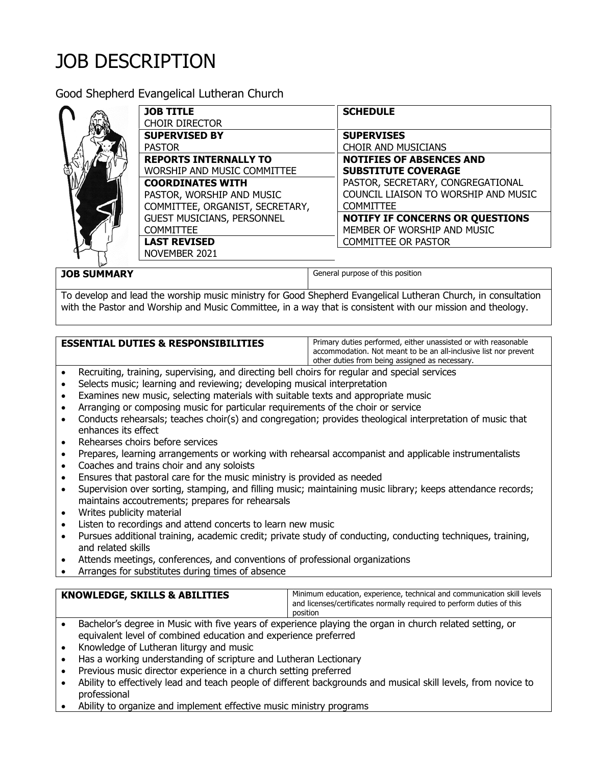## JOB DESCRIPTION

Good Shepherd Evangelical Lutheran Church



| <b>JOB TITLE</b>                  | <b>SCHEDULE</b>                        |
|-----------------------------------|----------------------------------------|
| <b>CHOIR DIRECTOR</b>             |                                        |
| <b>SUPERVISED BY</b>              | <b>SUPERVISES</b>                      |
| <b>PASTOR</b>                     | <b>CHOIR AND MUSICIANS</b>             |
| <b>REPORTS INTERNALLY TO</b>      | <b>NOTIFIES OF ABSENCES AND</b>        |
| WORSHIP AND MUSIC COMMITTEE       | <b>SUBSTITUTE COVERAGE</b>             |
| <b>COORDINATES WITH</b>           | PASTOR, SECRETARY, CONGREGATIONAL      |
| PASTOR, WORSHIP AND MUSIC         | COUNCIL LIAISON TO WORSHIP AND MUSIC   |
| COMMITTEE, ORGANIST, SECRETARY,   | <b>COMMITTEE</b>                       |
| <b>GUEST MUSICIANS, PERSONNEL</b> | <b>NOTIFY IF CONCERNS OR QUESTIONS</b> |
| <b>COMMITTEE</b>                  | MEMBER OF WORSHIP AND MUSIC            |
| <b>LAST REVISED</b>               | <b>COMMITTEE OR PASTOR</b>             |
| NOVEMBER 2021                     |                                        |

**JOB SUMMARY General purpose of this position** 

To develop and lead the worship music ministry for Good Shepherd Evangelical Lutheran Church, in consultation with the Pastor and Worship and Music Committee, in a way that is consistent with our mission and theology.

## **ESSENTIAL DUTIES & RESPONSIBILITIES** | Primary duties performed, either unassisted or with reasonable

accommodation. Not meant to be an all-inclusive list nor prevent other duties from being assigned as necessary.

- Recruiting, training, supervising, and directing bell choirs for regular and special services
- Selects music; learning and reviewing; developing musical interpretation
- Examines new music, selecting materials with suitable texts and appropriate music
- Arranging or composing music for particular requirements of the choir or service
- Conducts rehearsals; teaches choir(s) and congregation; provides theological interpretation of music that enhances its effect
- Rehearses choirs before services
- Prepares, learning arrangements or working with rehearsal accompanist and applicable instrumentalists
- Coaches and trains choir and any soloists
- Ensures that pastoral care for the music ministry is provided as needed
- Supervision over sorting, stamping, and filling music; maintaining music library; keeps attendance records; maintains accoutrements; prepares for rehearsals
- Writes publicity material
- Listen to recordings and attend concerts to learn new music
- Pursues additional training, academic credit; private study of conducting, conducting techniques, training, and related skills
- Attends meetings, conferences, and conventions of professional organizations
- Arranges for substitutes during times of absence

| <b>KNOWLEDGE, SKILLS &amp; ABILITIES</b>                                                            | Minimum education, experience, technical and communication skill levels |
|-----------------------------------------------------------------------------------------------------|-------------------------------------------------------------------------|
|                                                                                                     | and licenses/certificates normally required to perform duties of this   |
|                                                                                                     | position                                                                |
| Deskelede demos in Music with Currossen of consulares playing the exceptional coletial estation and |                                                                         |

- Bachelor's degree in Music with five years of experience playing the organ in church related setting, or equivalent level of combined education and experience preferred
- Knowledge of Lutheran liturgy and music
- Has a working understanding of scripture and Lutheran Lectionary
- Previous music director experience in a church setting preferred
- Ability to effectively lead and teach people of different backgrounds and musical skill levels, from novice to professional
- Ability to organize and implement effective music ministry programs